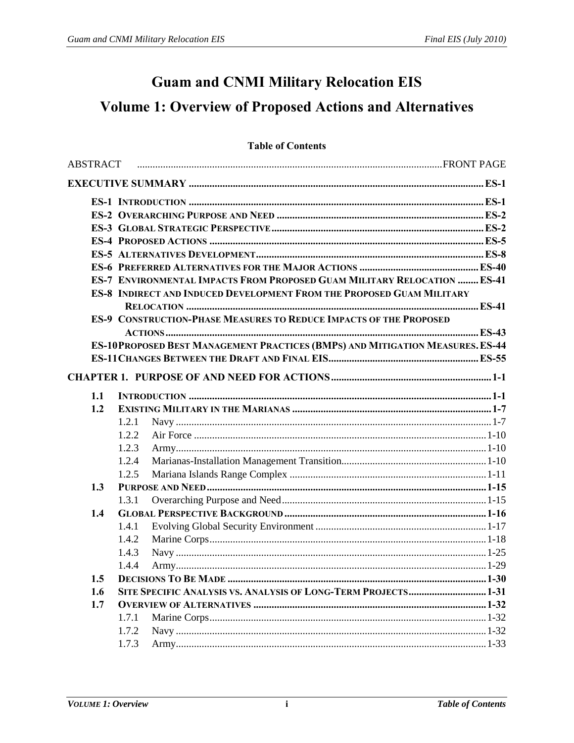## **Guam and CNMI Military Relocation EIS**

# **Volume 1: Overview of Proposed Actions and Alternatives**

#### **Table of Contents**

|     | ES-7 ENVIRONMENTAL IMPACTS FROM PROPOSED GUAM MILITARY RELOCATION  ES-41      |
|-----|-------------------------------------------------------------------------------|
|     | <b>ES-8 INDIRECT AND INDUCED DEVELOPMENT FROM THE PROPOSED GUAM MILITARY</b>  |
|     |                                                                               |
|     | <b>ES-9 CONSTRUCTION-PHASE MEASURES TO REDUCE IMPACTS OF THE PROPOSED</b>     |
|     |                                                                               |
|     | ES-10PROPOSED BEST MANAGEMENT PRACTICES (BMPS) AND MITIGATION MEASURES. ES-44 |
|     |                                                                               |
|     |                                                                               |
| 1.1 |                                                                               |
| 1.2 |                                                                               |
|     | 1.2.1                                                                         |
|     | 1.2.2                                                                         |
|     | 1.2.3                                                                         |
|     | 1.2.4                                                                         |
|     | 1.2.5                                                                         |
| 1.3 |                                                                               |
|     | 1.3.1                                                                         |
| 1.4 |                                                                               |
|     | 1.4.1                                                                         |
|     | 1.4.2                                                                         |
|     | 1.4.3                                                                         |
|     | 1.4.4                                                                         |
|     |                                                                               |
| 1.6 | SITE SPECIFIC ANALYSIS VS. ANALYSIS OF LONG-TERM PROJECTS 1-31                |
| 1.7 |                                                                               |
|     | 1.7.1                                                                         |
|     | 1.7.2                                                                         |
|     | 1.7.3                                                                         |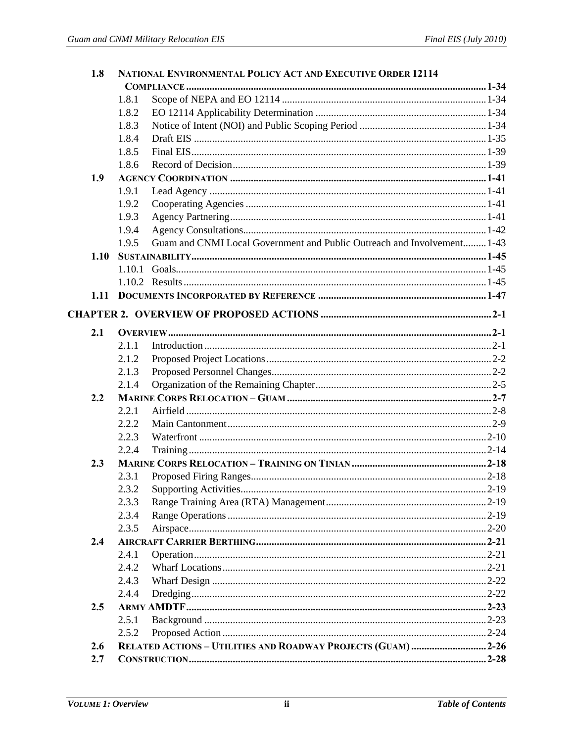| 1.8  |       | NATIONAL ENVIRONMENTAL POLICY ACT AND EXECUTIVE ORDER 12114             |  |
|------|-------|-------------------------------------------------------------------------|--|
|      |       |                                                                         |  |
|      | 1.8.1 |                                                                         |  |
|      | 1.8.2 |                                                                         |  |
|      | 1.8.3 |                                                                         |  |
|      | 1.8.4 |                                                                         |  |
|      | 1.8.5 |                                                                         |  |
|      | 1.8.6 |                                                                         |  |
| 1.9  |       |                                                                         |  |
|      | 1.9.1 |                                                                         |  |
|      | 1.9.2 |                                                                         |  |
|      | 1.9.3 |                                                                         |  |
|      | 1.9.4 |                                                                         |  |
|      | 1.9.5 | Guam and CNMI Local Government and Public Outreach and Involvement 1-43 |  |
| 1.10 |       |                                                                         |  |
|      |       |                                                                         |  |
|      |       |                                                                         |  |
| 1.11 |       |                                                                         |  |
|      |       |                                                                         |  |
| 2.1  |       |                                                                         |  |
|      | 2.1.1 |                                                                         |  |
|      | 2.1.2 |                                                                         |  |
|      | 2.1.3 |                                                                         |  |
|      | 2.1.4 |                                                                         |  |
| 2.2  |       |                                                                         |  |
|      | 2.2.1 |                                                                         |  |
|      | 2.2.2 |                                                                         |  |
|      | 2.2.3 |                                                                         |  |
|      | 2.2.4 |                                                                         |  |
| 2.3  |       |                                                                         |  |
|      | 2.3.1 |                                                                         |  |
|      | 2.3.2 |                                                                         |  |
|      | 2.3.3 |                                                                         |  |
|      | 2.3.4 |                                                                         |  |
|      | 2.3.5 |                                                                         |  |
| 2.4  |       |                                                                         |  |
|      | 2.4.1 |                                                                         |  |
|      | 2.4.2 |                                                                         |  |
|      | 2.4.3 |                                                                         |  |
|      | 2.4.4 |                                                                         |  |
| 2.5  |       |                                                                         |  |
|      | 2.5.1 |                                                                         |  |
|      | 2.5.2 |                                                                         |  |
| 2.6  |       |                                                                         |  |
| 2.7  |       |                                                                         |  |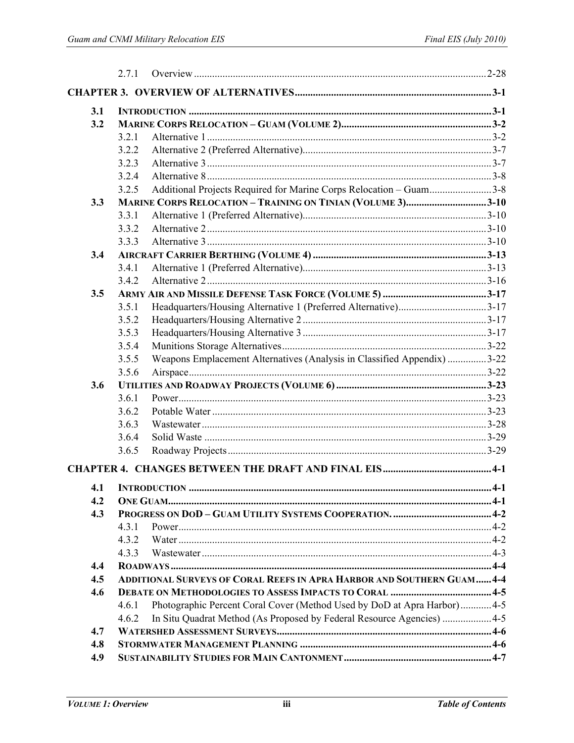|     | 2.7.1 |                                                                               |  |
|-----|-------|-------------------------------------------------------------------------------|--|
|     |       |                                                                               |  |
| 3.1 |       |                                                                               |  |
| 3.2 |       |                                                                               |  |
|     | 3.2.1 |                                                                               |  |
|     | 3.2.2 |                                                                               |  |
|     | 3.2.3 |                                                                               |  |
|     | 3.2.4 |                                                                               |  |
|     | 3.2.5 | Additional Projects Required for Marine Corps Relocation - Guam3-8            |  |
| 3.3 |       | MARINE CORPS RELOCATION - TRAINING ON TINIAN (VOLUME 3)3-10                   |  |
|     | 3.3.1 |                                                                               |  |
|     | 3.3.2 |                                                                               |  |
|     | 3.3.3 |                                                                               |  |
| 3.4 |       |                                                                               |  |
|     | 3.4.1 |                                                                               |  |
|     | 3.4.2 |                                                                               |  |
| 3.5 |       |                                                                               |  |
|     | 3.5.1 |                                                                               |  |
|     | 3.5.2 |                                                                               |  |
|     | 3.5.3 |                                                                               |  |
|     | 3.5.4 |                                                                               |  |
|     | 3.5.5 | Weapons Emplacement Alternatives (Analysis in Classified Appendix) 3-22       |  |
|     | 3.5.6 |                                                                               |  |
| 3.6 |       |                                                                               |  |
|     | 3.6.1 |                                                                               |  |
|     | 3.6.2 |                                                                               |  |
|     | 3.6.3 |                                                                               |  |
|     | 3.6.4 |                                                                               |  |
|     | 3.6.5 |                                                                               |  |
|     |       |                                                                               |  |
|     |       |                                                                               |  |
| 4.2 |       |                                                                               |  |
| 4.3 |       |                                                                               |  |
|     | 431   |                                                                               |  |
|     | 4.3.2 |                                                                               |  |
|     | 4.3.3 |                                                                               |  |
| 4.4 |       |                                                                               |  |
| 4.5 |       | <b>ADDITIONAL SURVEYS OF CORAL REEFS IN APRA HARBOR AND SOUTHERN GUAM 4-4</b> |  |
| 4.6 |       |                                                                               |  |
|     | 4.6.1 | Photographic Percent Coral Cover (Method Used by DoD at Apra Harbor) 4-5      |  |
|     | 4.6.2 | In Situ Quadrat Method (As Proposed by Federal Resource Agencies)  4-5        |  |
| 4.7 |       |                                                                               |  |
| 4.8 |       |                                                                               |  |
| 4.9 |       |                                                                               |  |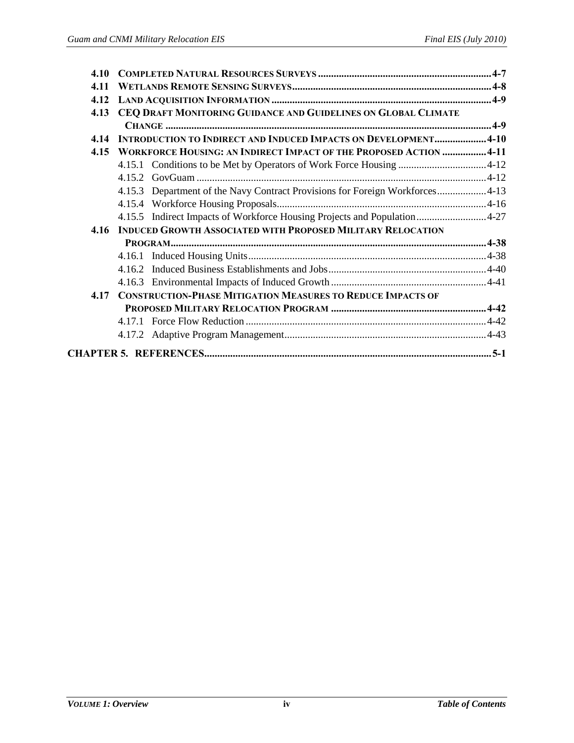| 4.11<br>4.12<br>CEQ DRAFT MONITORING GUIDANCE AND GUIDELINES ON GLOBAL CLIMATE<br>4.13<br><b>INTRODUCTION TO INDIRECT AND INDUCED IMPACTS ON DEVELOPMENT4-10</b><br>4.14<br>WORKFORCE HOUSING: AN INDIRECT IMPACT OF THE PROPOSED ACTION 4-11<br>4.15 |
|-------------------------------------------------------------------------------------------------------------------------------------------------------------------------------------------------------------------------------------------------------|
|                                                                                                                                                                                                                                                       |
|                                                                                                                                                                                                                                                       |
|                                                                                                                                                                                                                                                       |
|                                                                                                                                                                                                                                                       |
|                                                                                                                                                                                                                                                       |
|                                                                                                                                                                                                                                                       |
|                                                                                                                                                                                                                                                       |
|                                                                                                                                                                                                                                                       |
| 4.15.3 Department of the Navy Contract Provisions for Foreign Workforces4-13                                                                                                                                                                          |
|                                                                                                                                                                                                                                                       |
| 4.15.5 Indirect Impacts of Workforce Housing Projects and Population4-27                                                                                                                                                                              |
| <b>INDUCED GROWTH ASSOCIATED WITH PROPOSED MILITARY RELOCATION</b><br>4.16                                                                                                                                                                            |
|                                                                                                                                                                                                                                                       |
|                                                                                                                                                                                                                                                       |
|                                                                                                                                                                                                                                                       |
|                                                                                                                                                                                                                                                       |
| <b>CONSTRUCTION-PHASE MITIGATION MEASURES TO REDUCE IMPACTS OF</b><br>4.17                                                                                                                                                                            |
|                                                                                                                                                                                                                                                       |
|                                                                                                                                                                                                                                                       |
|                                                                                                                                                                                                                                                       |
|                                                                                                                                                                                                                                                       |
|                                                                                                                                                                                                                                                       |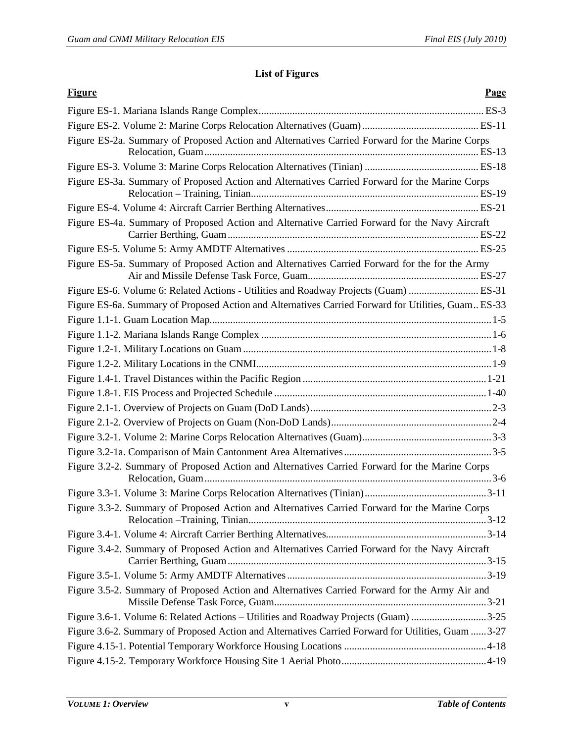### **List of Figures**

| <b>Figure</b><br>Page                                                                               |
|-----------------------------------------------------------------------------------------------------|
|                                                                                                     |
|                                                                                                     |
| Figure ES-2a. Summary of Proposed Action and Alternatives Carried Forward for the Marine Corps      |
|                                                                                                     |
| Figure ES-3a. Summary of Proposed Action and Alternatives Carried Forward for the Marine Corps      |
|                                                                                                     |
| Figure ES-4a. Summary of Proposed Action and Alternative Carried Forward for the Navy Aircraft      |
|                                                                                                     |
| Figure ES-5a. Summary of Proposed Action and Alternatives Carried Forward for the for the Army      |
| Figure ES-6. Volume 6: Related Actions - Utilities and Roadway Projects (Guam) ES-31                |
| Figure ES-6a. Summary of Proposed Action and Alternatives Carried Forward for Utilities, Guam ES-33 |
|                                                                                                     |
|                                                                                                     |
|                                                                                                     |
|                                                                                                     |
|                                                                                                     |
|                                                                                                     |
|                                                                                                     |
|                                                                                                     |
|                                                                                                     |
|                                                                                                     |
| Figure 3.2-2. Summary of Proposed Action and Alternatives Carried Forward for the Marine Corps      |
|                                                                                                     |
| Figure 3.3-2. Summary of Proposed Action and Alternatives Carried Forward for the Marine Corps      |
|                                                                                                     |
| Figure 3.4-2. Summary of Proposed Action and Alternatives Carried Forward for the Navy Aircraft     |
|                                                                                                     |
| Figure 3.5-2. Summary of Proposed Action and Alternatives Carried Forward for the Army Air and      |
| Figure 3.6-1. Volume 6: Related Actions - Utilities and Roadway Projects (Guam) 3-25                |
| Figure 3.6-2. Summary of Proposed Action and Alternatives Carried Forward for Utilities, Guam  3-27 |
|                                                                                                     |
|                                                                                                     |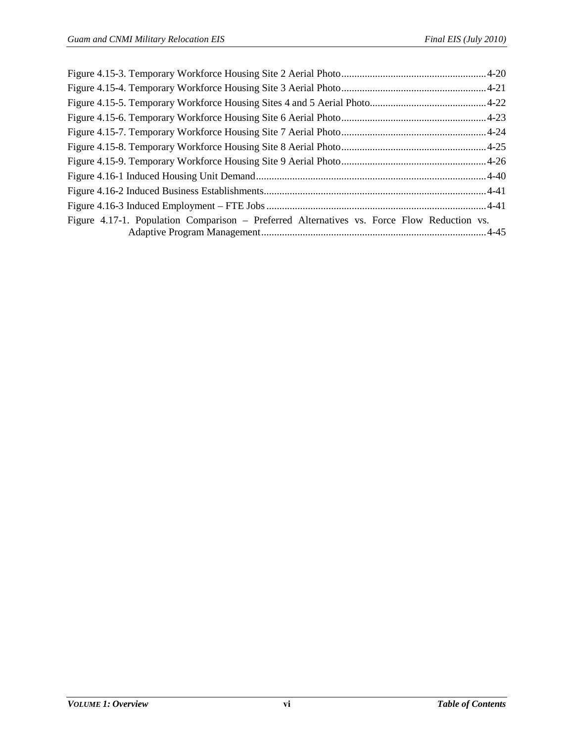| Figure 4.17-1. Population Comparison – Preferred Alternatives vs. Force Flow Reduction vs. |  |
|--------------------------------------------------------------------------------------------|--|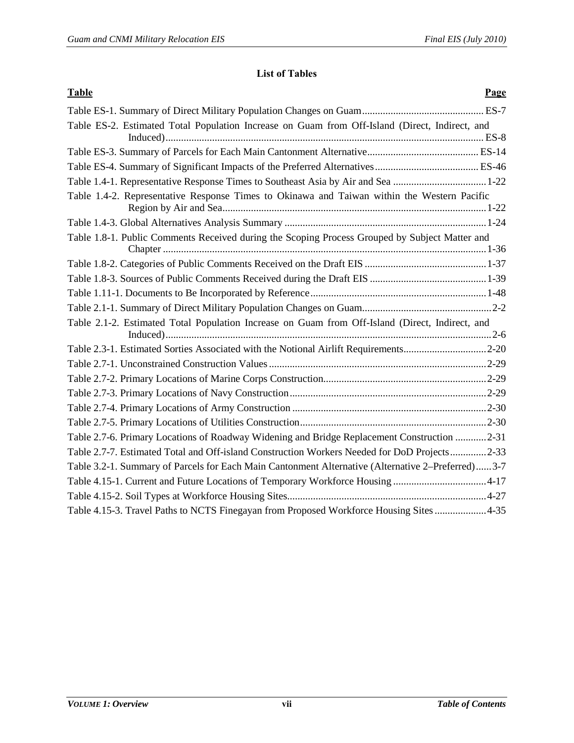#### **List of Tables**

| <b>Table</b><br>Page                                                                               |
|----------------------------------------------------------------------------------------------------|
|                                                                                                    |
| Table ES-2. Estimated Total Population Increase on Guam from Off-Island (Direct, Indirect, and     |
|                                                                                                    |
|                                                                                                    |
| Table 1.4-1. Representative Response Times to Southeast Asia by Air and Sea 1-22                   |
| Table 1.4-2. Representative Response Times to Okinawa and Taiwan within the Western Pacific        |
|                                                                                                    |
| Table 1.8-1. Public Comments Received during the Scoping Process Grouped by Subject Matter and     |
|                                                                                                    |
|                                                                                                    |
|                                                                                                    |
|                                                                                                    |
| Table 2.1-2. Estimated Total Population Increase on Guam from Off-Island (Direct, Indirect, and    |
| Table 2.3-1. Estimated Sorties Associated with the Notional Airlift Requirements2-20               |
|                                                                                                    |
|                                                                                                    |
|                                                                                                    |
|                                                                                                    |
|                                                                                                    |
| Table 2.7-6. Primary Locations of Roadway Widening and Bridge Replacement Construction 2-31        |
| Table 2.7-7. Estimated Total and Off-island Construction Workers Needed for DoD Projects2-33       |
| Table 3.2-1. Summary of Parcels for Each Main Cantonment Alternative (Alternative 2–Preferred) 3-7 |
| Table 4.15-1. Current and Future Locations of Temporary Workforce Housing 4-17                     |
|                                                                                                    |
| Table 4.15-3. Travel Paths to NCTS Finegayan from Proposed Workforce Housing Sites 4-35            |